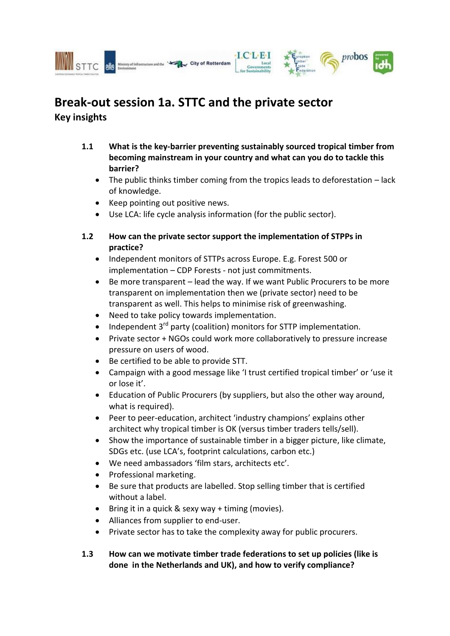

## **Break-out session 1a. STTC and the private sector Key insights**

- **1.1 What is the key-barrier preventing sustainably sourced tropical timber from becoming mainstream in your country and what can you do to tackle this barrier?** 
	- The public thinks timber coming from the tropics leads to deforestation lack of knowledge.
	- Keep pointing out positive news.
	- Use LCA: life cycle analysis information (for the public sector).
- **1.2 How can the private sector support the implementation of STPPs in practice?** 
	- Independent monitors of STTPs across Europe. E.g. Forest 500 or implementation – CDP Forests - not just commitments.
	- Be more transparent lead the way. If we want Public Procurers to be more transparent on implementation then we (private sector) need to be transparent as well. This helps to minimise risk of greenwashing.
	- Need to take policy towards implementation.
	- $\bullet$  Independent 3<sup>rd</sup> party (coalition) monitors for STTP implementation.
	- Private sector + NGOs could work more collaboratively to pressure increase pressure on users of wood.
	- Be certified to be able to provide STT.
	- Campaign with a good message like 'I trust certified tropical timber' or 'use it or lose it'.
	- Education of Public Procurers (by suppliers, but also the other way around, what is required).
	- Peer to peer-education, architect 'industry champions' explains other architect why tropical timber is OK (versus timber traders tells/sell).
	- Show the importance of sustainable timber in a bigger picture, like climate, SDGs etc. (use LCA's, footprint calculations, carbon etc.)
	- We need ambassadors 'film stars, architects etc'.
	- Professional marketing.
	- Be sure that products are labelled. Stop selling timber that is certified without a label.
	- $\bullet$  Bring it in a quick & sexy way + timing (movies).
	- Alliances from supplier to end-user.
	- Private sector has to take the complexity away for public procurers.
- **1.3 How can we motivate timber trade federations to set up policies (like is done in the Netherlands and UK), and how to verify compliance?**